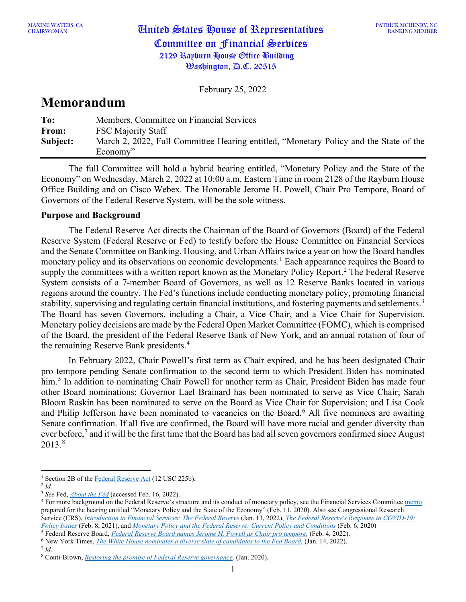# CHAIRWOMAN United States House of Representatives Committee on Financial Services 2129 Rayburn House Office Building  $\mathcal{W}$ ashington,  $\mathcal{P}$ .C. 20515

February 25, 2022

# **Memorandum**

| To:      | Members, Committee on Financial Services                                              |
|----------|---------------------------------------------------------------------------------------|
| From:    | <b>FSC Majority Staff</b>                                                             |
| Subject: | March 2, 2022, Full Committee Hearing entitled, "Monetary Policy and the State of the |
|          | Economy"                                                                              |

The full Committee will hold a hybrid hearing entitled, "Monetary Policy and the State of the Economy" on Wednesday, March 2, 2022 at 10:00 a.m. Eastern Time in room 2128 of the Rayburn House Office Building and on Cisco Webex. The Honorable Jerome H. Powell, Chair Pro Tempore, Board of Governors of the Federal Reserve System, will be the sole witness.

# **Purpose and Background**

The Federal Reserve Act directs the Chairman of the Board of Governors (Board) of the Federal Reserve System (Federal Reserve or Fed) to testify before the House Committee on Financial Services and the Senate Committee on Banking, Housing, and Urban Affairs twice a year on how the Board handles monetary policy and its observations on economic developments.<sup>[1](#page-0-0)</sup> Each appearance requires the Board to supply the committees with a written report known as the Monetary Policy Report.<sup>[2](#page-0-1)</sup> The Federal Reserve System consists of a 7-member Board of Governors, as well as 12 Reserve Banks located in various regions around the country. The Fed's functions include conducting monetary policy, promoting financial stability, supervising and regulating certain financial institutions, and fostering payments and settlements.<sup>[3](#page-0-2)</sup> The Board has seven Governors, including a Chair, a Vice Chair, and a Vice Chair for Supervision. Monetary policy decisions are made by the Federal Open Market Committee (FOMC), which is comprised of the Board, the president of the Federal Reserve Bank of New York, and an annual rotation of four of the remaining Reserve Bank presidents.<sup>[4](#page-0-3)</sup>

In February 2022, Chair Powell's first term as Chair expired, and he has been designated Chair pro tempore pending Senate confirmation to the second term to which President Biden has nominated him.<sup>[5](#page-0-4)</sup> In addition to nominating Chair Powell for another term as Chair, President Biden has made four other Board nominations: Governor Lael Brainard has been nominated to serve as Vice Chair; Sarah Bloom Raskin has been nominated to serve on the Board as Vice Chair for Supervision; and Lisa Cook and Philip Jefferson have been nominated to vacancies on the Board.<sup>[6](#page-0-5)</sup> All five nominees are awaiting Senate confirmation. If all five are confirmed, the Board will have more racial and gender diversity than ever before,<sup>[7](#page-0-6)</sup> and it will be the first time that the Board has had all seven governors confirmed since August 2013.[8](#page-0-7)

<span id="page-0-4"></span><sup>5</sup> Federal Reserve Board, *[Federal Reserve Board names Jerome H. Powell as Chair pro tempore,](https://www.federalreserve.gov/newsevents/pressreleases/other20220204a.htm)* (Feb. 4, 2022).

<sup>&</sup>lt;sup>1</sup> Section 2B of the [Federal Reserve Act](https://www.federalreserve.gov/aboutthefed/section2b.htm) (12 USC 225b).

<span id="page-0-1"></span><span id="page-0-0"></span><sup>2</sup> *Id.*

<span id="page-0-2"></span><sup>3</sup> *See* Fed, *[About the Fed](https://www.federalreserve.gov/aboutthefed.htm)* (accessed Feb. 16, 2022).

<span id="page-0-3"></span><sup>&</sup>lt;sup>4</sup> For more background on the Federal Reserve's structure and its conduct of monetary policy, see the Financial Services Committee [memo](https://docs.house.gov/meetings/BA/BA00/20200211/110485/HHRG-116-BA00-20200211-SD002.pdf) prepared for the hearing entitled "Monetary Policy and the State of the Economy" (Feb. 11, 2020). Also see Congressional Research Service (CRS), *[Introduction to Financial Services: The Federal Reserve](https://www.crs.gov/Reports/IF10054)* (Jan. 13, 2022), *[The Federal Reserve's Response to COVID-19:](https://www.crs.gov/Reports/R46411)  [Policy Issues](https://www.crs.gov/Reports/R46411)* (Feb. 8, 2021), and *[Monetary Policy and the Federal Reserve: Current Policy and Conditions](https://www.crs.gov/Reports/RL30354)* (Feb. 6, 2020)

<span id="page-0-5"></span><sup>6</sup> New York Times, *[The White House nominates a diverse slate of candidates to the Fed Board,](https://www.nytimes.com/2022/01/14/business/biden-federal-reserve-board-governors.html)* (Jan. 14, 2022).

<span id="page-0-6"></span><sup>7</sup> *Id.*

<span id="page-0-7"></span><sup>8</sup> Conti-Brown, *[Restoring the promise of Federal Reserve governance,](https://www.mercatus.org/system/files/conti-brown-fed-governance-mercatus-working-paper-v1.pdf)* (Jan. 2020).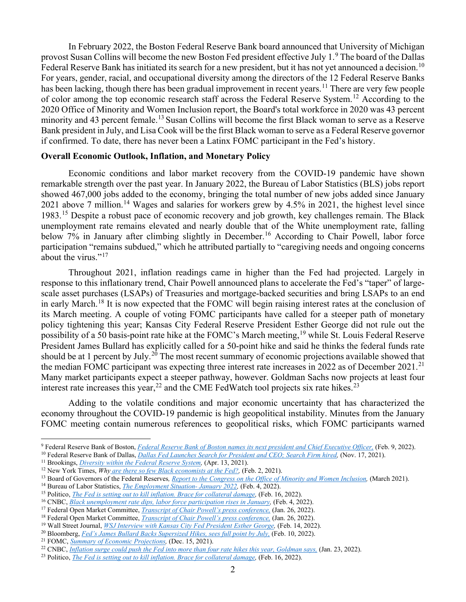In February 2022, the Boston Federal Reserve Bank board announced that University of Michigan provost Susan Collins will become the new Boston Fed president effective July 1.<sup>[9](#page-1-0)</sup> The board of the Dallas Federal Reserve Bank has initiated its search for a new president, but it has not vet announced a decision.<sup>[10](#page-1-1)</sup> For years, gender, racial, and occupational diversity among the directors of the 12 Federal Reserve Banks has been lacking, though there has been gradual improvement in recent years.<sup>[11](#page-1-2)</sup> There are very few people of color among the top economic research staff across the Federal Reserve System.<sup>[12](#page-1-3)</sup> According to the 2020 Office of Minority and Women Inclusion report, the Board's total workforce in 2020 was 43 percent minority and 43 percent female.<sup>[13](#page-1-4)</sup> Susan Collins will become the first Black woman to serve as a Reserve Bank president in July, and Lisa Cook will be the first Black woman to serve as a Federal Reserve governor if confirmed. To date, there has never been a Latinx FOMC participant in the Fed's history.

## **Overall Economic Outlook, Inflation, and Monetary Policy**

Economic conditions and labor market recovery from the COVID-19 pandemic have shown remarkable strength over the past year. In January 2022, the Bureau of Labor Statistics (BLS) jobs report showed 467,000 jobs added to the economy, bringing the total number of new jobs added since January 2021 above 7 million.<sup>[14](#page-1-5)</sup> Wages and salaries for workers grew by 4.5% in 2021, the highest level since 1983.[15](#page-1-6) Despite a robust pace of economic recovery and job growth, key challenges remain. The Black unemployment rate remains elevated and nearly double that of the White unemployment rate, falling below 7% in January after climbing slightly in December.<sup>[16](#page-1-7)</sup> According to Chair Powell, labor force participation "remains subdued," which he attributed partially to "caregiving needs and ongoing concerns about the virus."<sup>[17](#page-1-8)</sup>

Throughout 2021, inflation readings came in higher than the Fed had projected. Largely in response to this inflationary trend, Chair Powell announced plans to accelerate the Fed's "taper" of largescale asset purchases (LSAPs) of Treasuries and mortgage-backed securities and bring LSAPs to an end in early March.<sup>[18](#page-1-9)</sup> It is now expected that the FOMC will begin raising interest rates at the conclusion of its March meeting. A couple of voting FOMC participants have called for a steeper path of monetary policy tightening this year; Kansas City Federal Reserve President Esther George did not rule out the possibility of a 50 basis-point rate hike at the FOMC's March meeting, [19](#page-1-10) while St. Louis Federal Reserve President James Bullard has explicitly called for a 50-point hike and said he thinks the federal funds rate should be at 1 percent by July.<sup>[20](#page-1-11)</sup> The most recent summary of economic projections available showed that the median FOMC participant was expecting three interest rate increases in 2022 as of December 20[21](#page-1-12).<sup>21</sup> Many market participants expect a steeper pathway, however. Goldman Sachs now projects at least four interest rate increases this year,<sup>[22](#page-1-13)</sup> and the CME FedWatch tool projects six rate hikes.<sup>[23](#page-1-14)</sup>

Adding to the volatile conditions and major economic uncertainty that has characterized the economy throughout the COVID-19 pandemic is high geopolitical instability. Minutes from the January FOMC meeting contain numerous references to geopolitical risks, which FOMC participants warned

<span id="page-1-0"></span><sup>9</sup> Federal Reserve Bank of Boston, *[Federal Reserve Bank of Boston names its next](https://www.bostonfed.org/news-and-events/press-releases/2022/federal-reserve-bank-of-boston-names-its-next-president-and-chief-executive-officer.aspx#feature-cards) president and Chief Executive Officer,* (Feb. 9, 2022).

<span id="page-1-1"></span><sup>&</sup>lt;sup>10</sup> Federal Reserve Bank of Dallas, *Dallas Fed Launches Search for President and CEO; Search Firm hired,* (Nov. 17, 2021).

<span id="page-1-3"></span><span id="page-1-2"></span><sup>&</sup>lt;sup>11</sup> Brookings, *Diversity within the Federal Reserve System*, (Apr. 13, 2021).

<sup>12</sup> New York Times, *Why [are there so few Black economists at the Fed?,](https://www.nytimes.com/2021/02/02/business/economy/federal-reserve-diversity.html)* (Feb. 2, 2021).

<span id="page-1-4"></span><sup>13</sup> Board of Governors of the Federal Reserves*[, Report to the Congress on the Office of Minority and Women Inclusion,](https://www.federalreserve.gov/publications/March-2021-Report-to-the-Congress-on-the-Office-of-Minority-and-Women-Inclusion.htm)* (March 2021).

<span id="page-1-5"></span><sup>14</sup> Bureau of Labor Statistics, *[The Employment Situation-](https://www.bls.gov/news.release/pdf/empsit.pdf) January 2022,* (Feb. 4, 2022).

<span id="page-1-6"></span><sup>&</sup>lt;sup>15</sup> Politico, *The Fed is setting out to kill inflation. Brace for collateral damage*, (Feb. 16, 2022).

<span id="page-1-7"></span><sup>&</sup>lt;sup>16</sup> CNBC, *<u>Black unemployment rate dips, labor force participation rises in January</u>, (Feb. 4, 2022).<br><sup>17</sup> Federal Open Market Committee, <i><u>[Transcript of Chair Powell's press conference,](https://www.federalreserve.gov/mediacenter/files/FOMCpresconf20220126.pdf)</u> (Jan. 26, 2022).* 

<span id="page-1-8"></span>

<span id="page-1-10"></span><span id="page-1-9"></span><sup>18</sup> Federal Open Market Committee, *[Transcript of Chair Powell's press conference,](https://www.federalreserve.gov/mediacenter/files/FOMCpresconf20220126.pdf)* (Jan. 26, 2022).

<sup>19</sup> Wall Street Journal, *WSJ Interview with Kansas [City Fed President Esther George,](https://www.wsj.com/articles/wsj-interview-with-kansas-city-fed-president-esther-george-11644849173)* (Feb. 14, 2022).

<span id="page-1-11"></span><sup>&</sup>lt;sup>20</sup> Bloomberg, *[Fed's James Bullard Backs Supersized Hikes, sees full point by](https://www.bloomberg.com/news/articles/2022-02-10/fed-s-bullard-backs-supersized-hike-seeks-full-point-by-july-1) July,* (Feb. 10, 2022).

<span id="page-1-12"></span><sup>21</sup> FOMC, *[Summary of Economic Projections,](https://www.federalreserve.gov/monetarypolicy/files/fomcprojtabl20211215.pdf)* (Dec. 15, 2021).

<span id="page-1-13"></span><sup>22</sup> CNBC, *[Inflation surge could push the Fed into more than four rate hikes this year, Goldman says,](https://www.cnbc.com/2022/01/23/inflation-surge-could-push-the-fed-into-more-than-four-rate-hikes-this-year-goldman-sachs-says.html)* (Jan. 23, 2022).

<span id="page-1-14"></span><sup>&</sup>lt;sup>23</sup> Politico, *[The Fed is setting out to kill inflation. Brace for collateral damage,](https://www.politico.com/news/2022/02/17/workers-historic-wage-gains-at-risk-in-fed-inflation-fight-00009392)* (Feb. 16, 2022).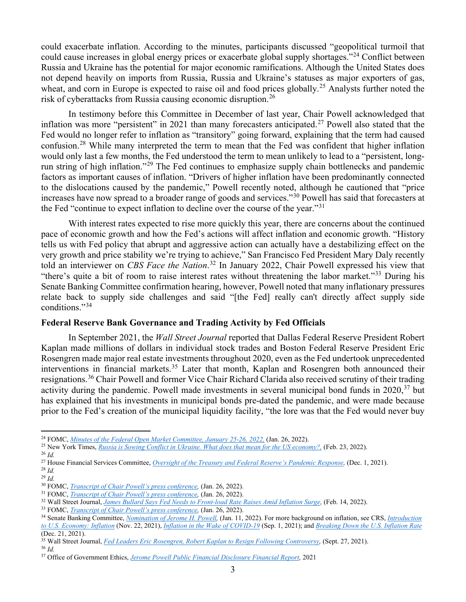could exacerbate inflation. According to the minutes, participants discussed "geopolitical turmoil that could cause increases in global energy prices or exacerbate global supply shortages."[24](#page-2-0) Conflict between Russia and Ukraine has the potential for major economic ramifications. Although the United States does not depend heavily on imports from Russia, Russia and Ukraine's statuses as major exporters of gas, wheat, and corn in Europe is expected to raise oil and food prices globally.<sup>[25](#page-2-1)</sup> Analysts further noted the risk of cyberattacks from Russia causing economic disruption.<sup>[26](#page-2-2)</sup>

In testimony before this Committee in December of last year, Chair Powell acknowledged that inflation was more "persistent" in 2021 than many forecasters anticipated.<sup>[27](#page-2-3)</sup> Powell also stated that the Fed would no longer refer to inflation as "transitory" going forward, explaining that the term had caused confusion.<sup>[28](#page-2-4)</sup> While many interpreted the term to mean that the Fed was confident that higher inflation would only last a few months, the Fed understood the term to mean unlikely to lead to a "persistent, longrun string of high inflation."[29](#page-2-5) The Fed continues to emphasize supply chain bottlenecks and pandemic factors as important causes of inflation. "Drivers of higher inflation have been predominantly connected to the dislocations caused by the pandemic," Powell recently noted, although he cautioned that "price increases have now spread to a broader range of goods and services."[30](#page-2-6) Powell has said that forecasters at the Fed "continue to expect inflation to decline over the course of the year."<sup>[31](#page-2-7)</sup>

With interest rates expected to rise more quickly this year, there are concerns about the continued pace of economic growth and how the Fed's actions will affect inflation and economic growth. "History tells us with Fed policy that abrupt and aggressive action can actually have a destabilizing effect on the very growth and price stability we're trying to achieve," San Francisco Fed President Mary Daly recently told an interviewer on *CBS Face the Nation*. [32](#page-2-8) In January 2022, Chair Powell expressed his view that "there's quite a bit of room to raise interest rates without threatening the labor market."[33](#page-2-9) During his Senate Banking Committee confirmation hearing, however, Powell noted that many inflationary pressures relate back to supply side challenges and said "[the Fed] really can't directly affect supply side conditions."[34](#page-2-10)

# **Federal Reserve Bank Governance and Trading Activity by Fed Officials**

In September 2021, the *Wall Street Journal* reported that Dallas Federal Reserve President Robert Kaplan made millions of dollars in individual stock trades and Boston Federal Reserve President Eric Rosengren made major real estate investments throughout 2020, even as the Fed undertook unprecedented interventions in financial markets.<sup>[35](#page-2-11)</sup> Later that month, Kaplan and Rosengren both announced their resignations.[36](#page-2-12) Chair Powell and former Vice Chair Richard Clarida also received scrutiny of their trading activity during the pandemic. Powell made investments in several municipal bond funds in  $2020$ ,  $37$  but has explained that his investments in municipal bonds pre-dated the pandemic, and were made because prior to the Fed's creation of the municipal liquidity facility, "the lore was that the Fed would never buy

<span id="page-2-1"></span><span id="page-2-0"></span><sup>24</sup> FOMC, *[Minutes of the Federal Open Market Committee, January 25-26, 2022,](https://www.federalreserve.gov/monetarypolicy/files/fomcminutes20220126.pdf)* (Jan. 26, 2022).

<span id="page-2-2"></span><sup>25</sup> New York Times, *[Russia is Sowing Conflict in Ukraine. What does that mean for the US economy?,](https://www.nytimes.com/2022/02/23/business/economy/russia-ukraine-global-us-economy.html)* (Feb. 23, 2022).

<span id="page-2-3"></span><sup>26</sup> *Id.*

<span id="page-2-5"></span><span id="page-2-4"></span><sup>&</sup>lt;sup>27</sup> House Financial Services Committee, *Oversight of the Treasury and Federal Reserve's Pandemic Response*, (Dec. 1, 2021). <sup>28</sup> *Id.*

<span id="page-2-6"></span><sup>29</sup> *Id.*

<span id="page-2-7"></span><sup>&</sup>lt;sup>30</sup> FOMC, *Transcript of Chair Powell's press conference*, (Jan. 26, 2022).

<span id="page-2-8"></span><sup>&</sup>lt;sup>31</sup> FOMC, *Transcript of Chair Powell's press conference*, (Jan. 26, 2022).

<span id="page-2-9"></span><sup>&</sup>lt;sup>32</sup> Wall Street Journal, *James Bullard Says Fed Needs to Front-load Rate Raises Amid Inflation Surge*, (Feb. 14, 2022).

<sup>&</sup>lt;sup>33</sup> FOMC, *Transcript of Chair Powell's press conference*, (Jan. 26, 2022).

<span id="page-2-10"></span><sup>34</sup> Senate Banking Committee, *[Nomination of Jerome H. Powell,](https://www.banking.senate.gov/hearings/01/04/2022/nomination-hearing)* (Jan. 11, 2022). For more background on inflation, see CRS, *[Introduction](https://www.crs.gov/Reports/IF10477)  [to U.S. Economy: Inflation](https://www.crs.gov/Reports/IF10477)* (Nov. 22, 2021), *[Inflation in the Wake of COVID-19](https://www.crs.gov/Reports/R46890)* (Sep. 1, 2021); and *[Breaking Down the U.S. Inflation Rate](https://www.crs.gov/Reports/IN11832)* (Dec. 21, 2021).

<span id="page-2-11"></span><sup>35</sup> Wall Street Journal, *[Fed Leaders Eric Rosengren, Robert Kaplan to Resign Following Controversy,](https://www.wsj.com/articles/boston-fed-leader-rosengren-to-retire-early-from-bank-11632747033)* (Sept. 27, 2021).

<span id="page-2-12"></span><sup>36</sup> *Id.*

<span id="page-2-13"></span><sup>37</sup> Office of Government Ethics, *[Jerome Powell Public Financial Disclosure Financial Report,](https://extapps2.oge.gov/201/presiden.nsf/PAS+Index/06F79374D20480FD852586D9002EC767/$FILE/Jerome-H-Powell-2021-278.pdf)* 2021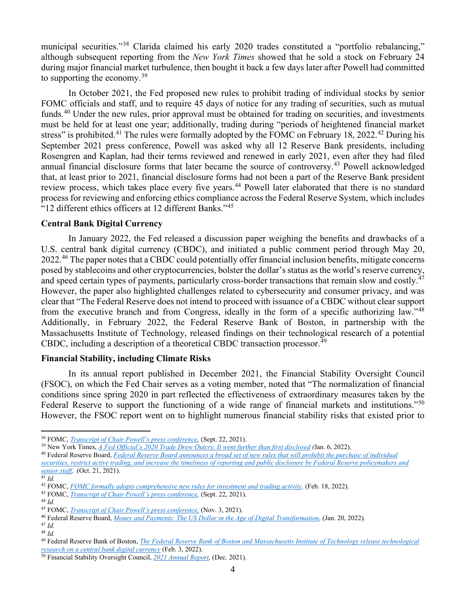municipal securities."[38](#page-3-0) Clarida claimed his early 2020 trades constituted a "portfolio rebalancing," although subsequent reporting from the *New York Times* showed that he sold a stock on February 24 during major financial market turbulence, then bought it back a few days later after Powell had committed to supporting the economy.<sup>[39](#page-3-1)</sup>

In October 2021, the Fed proposed new rules to prohibit trading of individual stocks by senior FOMC officials and staff, and to require 45 days of notice for any trading of securities, such as mutual funds.<sup>[40](#page-3-2)</sup> Under the new rules, prior approval must be obtained for trading on securities, and investments must be held for at least one year; additionally, trading during "periods of heightened financial market stress" is prohibited.<sup>[41](#page-3-3)</sup> The rules were formally adopted by the FOMC on February 18, 2022.<sup>[42](#page-3-4)</sup> During his September 2021 press conference, Powell was asked why all 12 Reserve Bank presidents, including Rosengren and Kaplan, had their terms reviewed and renewed in early 2021, even after they had filed annual financial disclosure forms that later became the source of controversy.<sup>[43](#page-3-5)</sup> Powell acknowledged that, at least prior to 2021, financial disclosure forms had not been a part of the Reserve Bank president review process, which takes place every five years.<sup>[44](#page-3-6)</sup> Powell later elaborated that there is no standard process for reviewing and enforcing ethics compliance across the Federal Reserve System, which includes "12 different ethics officers at 12 different Banks."<sup>[45](#page-3-7)</sup>

#### **Central Bank Digital Currency**

In January 2022, the Fed released a discussion paper weighing the benefits and drawbacks of a U.S. central bank digital currency (CBDC), and initiated a public comment period through May 20, 2022.<sup>[46](#page-3-8)</sup> The paper notes that a CBDC could potentially offer financial inclusion benefits, mitigate concerns posed by stablecoins and other cryptocurrencies, bolster the dollar's status as the world's reserve currency, and speed certain types of payments, particularly cross-border transactions that remain slow and costly.<sup>[47](#page-3-9)</sup> However, the paper also highlighted challenges related to cybersecurity and consumer privacy, and was clear that "The Federal Reserve does not intend to proceed with issuance of a CBDC without clear support from the executive branch and from Congress, ideally in the form of a specific authorizing law."[48](#page-3-10) Additionally, in February 2022, the Federal Reserve Bank of Boston, in partnership with the Massachusetts Institute of Technology, released findings on their technological research of a potential CBDC, including a description of a theoretical CBDC transaction processor.<sup>[49](#page-3-11)</sup>

#### **Financial Stability, including Climate Risks**

In its annual report published in December 2021, the Financial Stability Oversight Council (FSOC), on which the Fed Chair serves as a voting member, noted that "The normalization of financial conditions since spring 2020 in part reflected the effectiveness of extraordinary measures taken by the Federal Reserve to support the functioning of a wide range of financial markets and institutions."<sup>[50](#page-3-12)</sup> However, the FSOC report went on to highlight numerous financial stability risks that existed prior to

<span id="page-3-0"></span><sup>38</sup> FOMC, *[Transcript of Chair Powell's press conference,](https://www.federalreserve.gov/mediacenter/files/FOMCpresconf20210922.pdf)* (Sept. 22, 2021).

<span id="page-3-1"></span><sup>39</sup> New York Times, *[A Fed Official's 2020 Trade Drew Outcry. It went further than first disclosed](https://www.nytimes.com/2022/01/06/business/economy/richard-clarida-fed-stock-fund.html) (*Jan. 6, 2022).

<span id="page-3-2"></span><sup>40</sup> Federal Reserve Board, *[Federal Reserve Board announces a broad set of new rules that will prohibit the purchase of individual](https://www.federalreserve.gov/newsevents/pressreleases/other20211021b.htm)* 

*[securities, restrict active trading, and increase the timeliness of reporting and public disclosure by Federal Reserve policymakers and](https://www.federalreserve.gov/newsevents/pressreleases/other20211021b.htm)  [senior staff,](https://www.federalreserve.gov/newsevents/pressreleases/other20211021b.htm)* (Oct. 21, 2021).

<sup>41</sup> *Id.*

<span id="page-3-4"></span><span id="page-3-3"></span><sup>&</sup>lt;sup>42</sup> FOMC, *FOMC formally adopts comprehensive new rules for investment and trading activity*, (Feb. 18, 2022).

<span id="page-3-5"></span><sup>43</sup> FOMC, *[Transcript of Chair Powell's press conference,](https://www.federalreserve.gov/mediacenter/files/FOMCpresconf20210922.pdf)* (Sept. 22, 2021).

<span id="page-3-7"></span><span id="page-3-6"></span><sup>44</sup> *Id.*

<sup>45</sup> FOMC, *[Transcript of Chair Powell's press conference,](https://www.federalreserve.gov/mediacenter/files/FOMCpresconf20211103.pdf)* (Nov. 3, 2021).

<sup>46</sup> Federal Reserve Board, *[Money and Payments: The US Dollar in the Age of Digital Transformation,](https://www.federalreserve.gov/publications/money-and-payments-discussion-paper.htm)* (Jan. 20, 2022).

<span id="page-3-9"></span><span id="page-3-8"></span><sup>47</sup> *Id.*

<span id="page-3-10"></span><sup>48</sup> *Id.*

<span id="page-3-11"></span><sup>49</sup> Federal Reserve Bank of Boston, *[The Federal Reserve Bank of Boston and Massachusetts Institute of Technology release technological](https://financialservices.house.gov/uploadedfiles/hhrg-117-ba00-20220208-sd002.pdf)  [research on a central bank digital currency](https://financialservices.house.gov/uploadedfiles/hhrg-117-ba00-20220208-sd002.pdf)* (Feb. 3, 2022).

<span id="page-3-12"></span><sup>50</sup> Financial Stability Oversight Council, *[2021 Annual Report,](https://home.treasury.gov/system/files/261/FSOC2021AnnualReport.pdf)* (Dec. 2021).